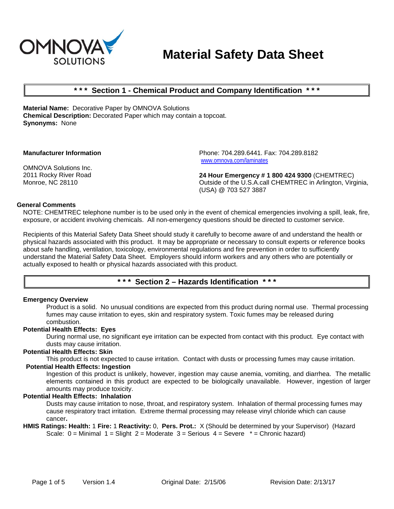

# **Material Safety Data Sheet**

# **\* \* \* Section 1 - Chemical Product and Company Identification \* \* \***

**Material Name:** Decorative Paper by OMNOVA Solutions **Chemical Description:** Decorated Paper which may contain a topcoat. **Synonyms:** None

**Manufacturer Information**

OMNOVA Solutions Inc. 2011 Rocky River Road Monroe, NC 28110

Phone: 704.289.6441. Fax: 704.289.8182 www.omnova.com/laminates

**24 Hour Emergency # 1 800 424 9300** (CHEMTREC) Outside of the U.S.A.call CHEMTREC in Arlington, Virginia, (USA) @ 703 527 3887

#### **General Comments**

NOTE: CHEMTREC telephone number is to be used only in the event of chemical emergencies involving a spill, leak, fire, exposure, or accident involving chemicals. All non-emergency questions should be directed to customer service.

Recipients of this Material Safety Data Sheet should study it carefully to become aware of and understand the health or physical hazards associated with this product. It may be appropriate or necessary to consult experts or reference books about safe handling, ventilation, toxicology, environmental regulations and fire prevention in order to sufficiently understand the Material Safety Data Sheet. Employers should inform workers and any others who are potentially or actually exposed to health or physical hazards associated with this product.

## **\* \* \* Section 2 – Hazards Identification \* \* \***

#### **Emergency Overview**

Product is a solid. No unusual conditions are expected from this product during normal use. Thermal processing fumes may cause irritation to eyes, skin and respiratory system. Toxic fumes may be released during combustion.

#### **Potential Health Effects: Eyes**

During normal use, no significant eye irritation can be expected from contact with this product. Eye contact with dusts may cause irritation.

#### **Potential Health Effects: Skin**

This product is not expected to cause irritation. Contact with dusts or processing fumes may cause irritation. **Potential Health Effects: Ingestion** 

Ingestion of this product is unlikely, however, ingestion may cause anemia, vomiting, and diarrhea. The metallic elements contained in this product are expected to be biologically unavailable. However, ingestion of larger amounts may produce toxicity.

#### **Potential Health Effects: Inhalation**

Dusts may cause irritation to nose, throat, and respiratory system. Inhalation of thermal processing fumes may cause respiratory tract irritation. Extreme thermal processing may release vinyl chloride which can cause cancer**.** 

**HMIS Ratings: Health:** 1 **Fire:** 1 **Reactivity:** 0, **Pers. Prot.:** X (Should be determined by your Supervisor) (Hazard Scale:  $0 =$  Minimal  $1 =$  Slight  $2 =$  Moderate  $3 =$  Serious  $4 =$  Severe  $* =$  Chronic hazard)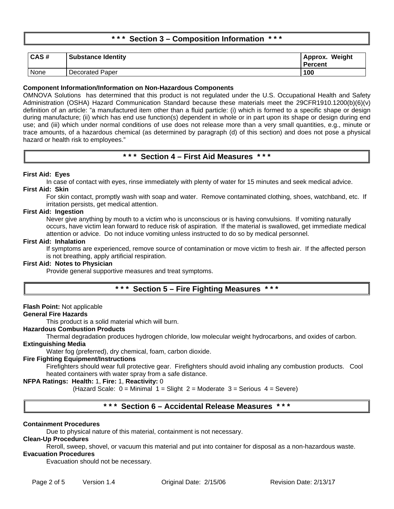# **\* \* \* Section 3 – Composition Information \* \* \***

| CAS# | <b>Substance Identity</b> | Approx. Weight<br><b>Percent</b> |
|------|---------------------------|----------------------------------|
| None | Decorated Paper           | 100                              |

## **Component Information/Information on Non-Hazardous Components**

OMNOVA Solutions has determined that this product is not regulated under the U.S. Occupational Health and Safety Administration (OSHA) Hazard Communication Standard because these materials meet the 29CFR1910.1200(b)(6)(v) definition of an article: "a manufactured item other than a fluid particle: (i) which is formed to a specific shape or design during manufacture; (ii) which has end use function(s) dependent in whole or in part upon its shape or design during end use; and (iii) which under normal conditions of use does not release more than a very small quantities, e.g., minute or trace amounts, of a hazardous chemical (as determined by paragraph (d) of this section) and does not pose a physical hazard or health risk to employees."

## **\* \* \* Section 4 – First Aid Measures \* \* \***

## **First Aid: Eyes**

In case of contact with eyes, rinse immediately with plenty of water for 15 minutes and seek medical advice. **First Aid: Skin**

For skin contact, promptly wash with soap and water. Remove contaminated clothing, shoes, watchband, etc. If irritation persists, get medical attention.

## **First Aid: Ingestion**

Never give anything by mouth to a victim who is unconscious or is having convulsions. If vomiting naturally occurs, have victim lean forward to reduce risk of aspiration. If the material is swallowed, get immediate medical attention or advice. Do not induce vomiting unless instructed to do so by medical personnel.

## **First Aid: Inhalation**

If symptoms are experienced, remove source of contamination or move victim to fresh air. If the affected person is not breathing, apply artificial respiration.

## **First Aid: Notes to Physician**

Provide general supportive measures and treat symptoms.

## **\* \* \* Section 5 – Fire Fighting Measures \* \* \***

## **Flash Point:** Not applicable

#### **General Fire Hazards**

This product is a solid material which will burn.

## **Hazardous Combustion Products**

Thermal degradation produces hydrogen chloride, low molecular weight hydrocarbons, and oxides of carbon. **Extinguishing Media**

Water fog (preferred), dry chemical, foam, carbon dioxide.

#### **Fire Fighting Equipment/Instructions**

Firefighters should wear full protective gear. Firefighters should avoid inhaling any combustion products. Cool heated containers with water spray from a safe distance.

## **NFPA Ratings: Health:** 1, **Fire:** 1, **Reactivity:** 0

(Hazard Scale:  $0 =$  Minimal  $1 =$  Slight  $2 =$  Moderate  $3 =$  Serious  $4 =$  Severe)

# **\* \* \* Section 6 – Accidental Release Measures \* \* \***

## **Containment Procedures**

Due to physical nature of this material, containment is not necessary.

#### **Clean-Up Procedures**

Reroll, sweep, shovel, or vacuum this material and put into container for disposal as a non-hazardous waste.

## **Evacuation Procedures**

Evacuation should not be necessary.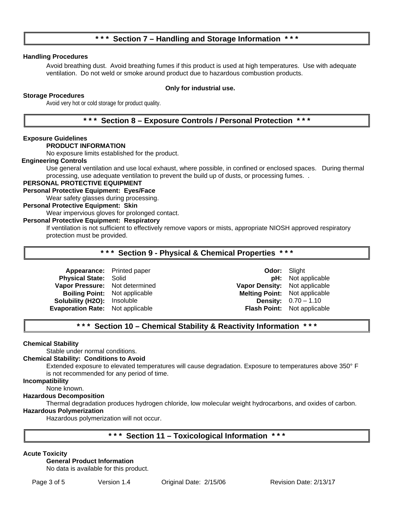# **\* \* \* Section 7 – Handling and Storage Information \* \* \***

## **Handling Procedures**

Avoid breathing dust. Avoid breathing fumes if this product is used at high temperatures. Use with adequate ventilation. Do not weld or smoke around product due to hazardous combustion products.

## **Only for industrial use.**

## **Storage Procedures**

Avoid very hot or cold storage for product quality.

## **\* \* \* Section 8 – Exposure Controls / Personal Protection \* \* \***

## **Exposure Guidelines**

#### **PRODUCT INFORMATION**

No exposure limits established for the product.

#### **Engineering Controls**

Use general ventilation and use local exhaust, where possible, in confined or enclosed spaces. During thermal processing, use adequate ventilation to prevent the build up of dusts, or processing fumes. .

#### **PERSONAL PROTECTIVE EQUIPMENT**

**Personal Protective Equipment: Eyes/Face**

Wear safety glasses during processing.

## **Personal Protective Equipment: Skin**

Wear impervious gloves for prolonged contact.

## **Personal Protective Equipment: Respiratory**

If ventilation is not sufficient to effectively remove vapors or mists, appropriate NIOSH approved respiratory protection must be provided.

## **\* \* \* Section 9 - Physical & Chemical Properties \* \* \***

**Physical State: Solid Vapor Pressure:** Not determined **Vapor Density:** Not applicable **Evaporation Rate: Not applicable** 

**Appearance:** Printed paper **Conserversity Conserversity Conserversity Conserversity Principle Principle Principle<br>
<b>Appearance:** Solid **Principle Principle Principle Principle Principle Principle Principle Principle Princ Boiling Point:** Not applicable **Melting Point:** Not applicable **Solubility (H2O):** Insoluble **Density:** 0.70 – 1.10<br> **Vaporation Rate:** Not applicable **Density:** Density: 0.70 – 1.10

## **\* \* \* Section 10 – Chemical Stability & Reactivity Information \* \* \***

#### **Chemical Stability**

Stable under normal conditions.

#### **Chemical Stability: Conditions to Avoid**

Extended exposure to elevated temperatures will cause degradation. Exposure to temperatures above 350° F is not recommended for any period of time.

**Incompatibility**

None known.

#### **Hazardous Decomposition**

Thermal degradation produces hydrogen chloride, low molecular weight hydrocarbons, and oxides of carbon.

#### **Hazardous Polymerization**

Hazardous polymerization will not occur.

# **\* \* \* Section 11 – Toxicological Information \* \* \***

#### **Acute Toxicity**

## **General Product Information**

No data is available for this product.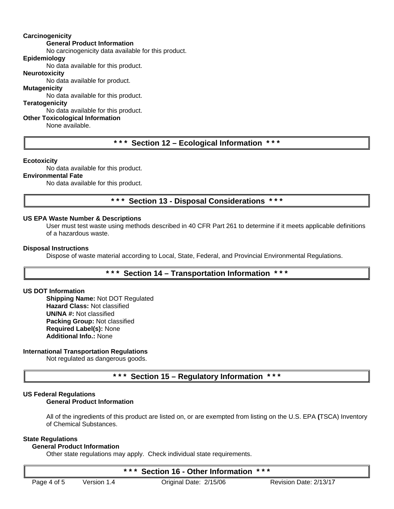## **Carcinogenicity**

#### **General Product Information**

No carcinogenicity data available for this product.

## **Epidemiology**

No data available for this product.

## **Neurotoxicity**

No data available for product.

## **Mutagenicity**

No data available for this product.

## **Teratogenicity**

No data available for this product.

# **Other Toxicological Information**

None available.

## **\* \* \* Section 12 – Ecological Information \* \* \***

## **Ecotoxicity**

No data available for this product.

## **Environmental Fate**

No data available for this product.

## **\* \* \* Section 13 - Disposal Considerations \* \* \***

#### **US EPA Waste Number & Descriptions**

User must test waste using methods described in 40 CFR Part 261 to determine if it meets applicable definitions of a hazardous waste.

## **Disposal Instructions**

Dispose of waste material according to Local, State, Federal, and Provincial Environmental Regulations.

# **\* \* \* Section 14 – Transportation Information \* \* \***

## **US DOT Information**

**Shipping Name:** Not DOT Regulated **Hazard Class:** Not classified **UN/NA #:** Not classified **Packing Group:** Not classified **Required Label(s):** None **Additional Info.:** None

## **International Transportation Regulations**

Not regulated as dangerous goods.

**\* \* \* Section 15 – Regulatory Information \* \* \***

## **US Federal Regulations**

## **General Product Information**

All of the ingredients of this product are listed on, or are exempted from listing on the U.S. EPA **(**TSCA) Inventory of Chemical Substances.

## **State Regulations**

## **General Product Information**

Other state regulations may apply. Check individual state requirements.

# **\* \* \* Section 16 - Other Information \* \* \***